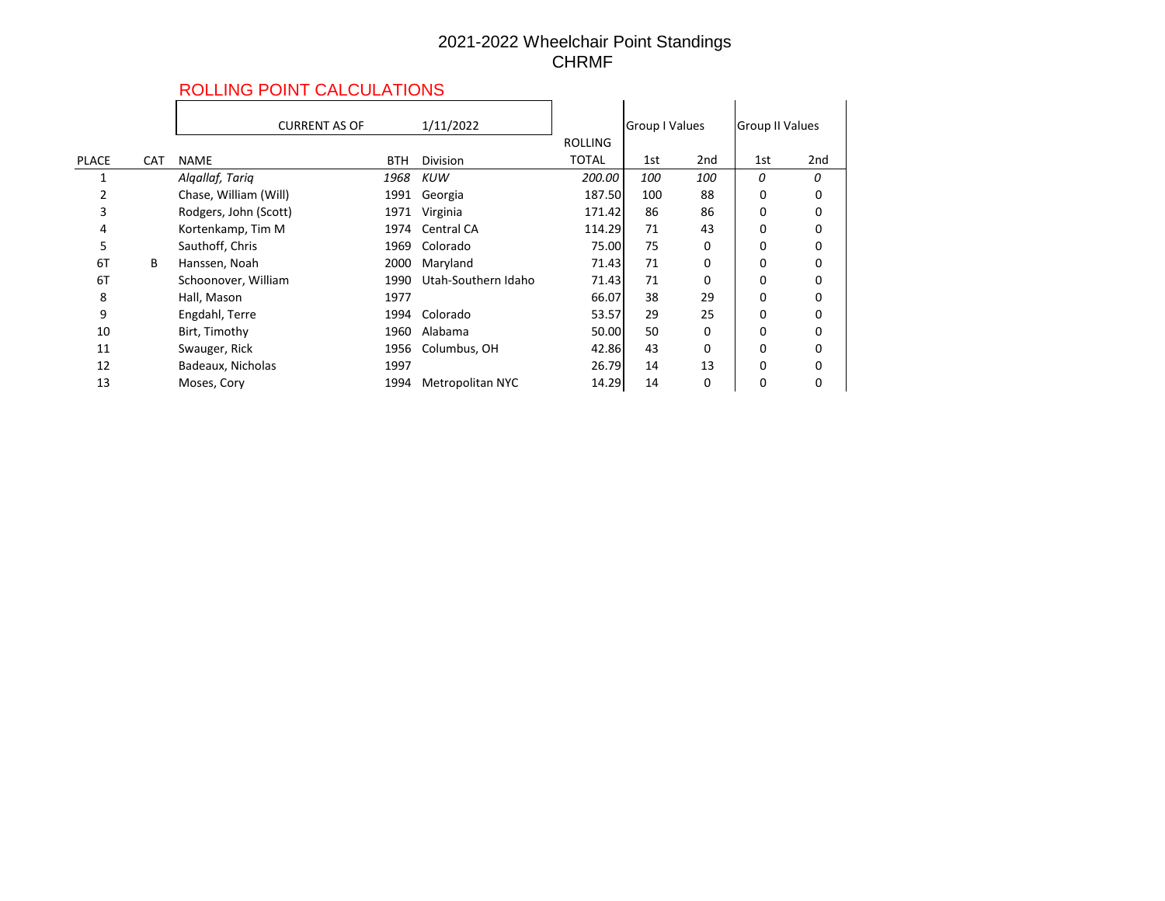## 2021-2022 Wheelchair Point Standings CHRMF

## ROLLING POINT CALCULATIONS

|              |            | ROLLING POINT CALCULATIONS |            |                         |                |                |          |                 |     |
|--------------|------------|----------------------------|------------|-------------------------|----------------|----------------|----------|-----------------|-----|
|              |            | <b>CURRENT AS OF</b>       |            | 1/11/2022               |                | Group I Values |          | Group II Values |     |
|              |            |                            |            |                         | <b>ROLLING</b> |                |          |                 |     |
| <b>PLACE</b> | <b>CAT</b> | <b>NAME</b>                | <b>BTH</b> | <b>Division</b>         | <b>TOTAL</b>   | 1st            | 2nd      | 1st             | 2nd |
|              |            | Algallaf, Tariq            | 1968       | KUW                     | 200.00         | 100            | 100      | 0               | 0   |
|              |            | Chase, William (Will)      | 1991       | Georgia                 | 187.50         | 100            | 88       | 0               | 0   |
| 3            |            | Rodgers, John (Scott)      | 1971       | Virginia                | 171.42         | 86             | 86       | 0               | 0   |
| 4            |            | Kortenkamp, Tim M          | 1974       | Central CA              | 114.29         | 71             | 43       | 0               | 0   |
| 5            |            | Sauthoff, Chris            | 1969       | Colorado                | 75.00          | 75             | 0        | O               | 0   |
| 6T           | B          | Hanssen, Noah              | 2000       | Maryland                | 71.43          | 71             | $\Omega$ |                 |     |
| 6T           |            | Schoonover, William        | 1990       | Utah-Southern Idaho     | 71.43          | 71             | 0        |                 |     |
| 8            |            | Hall, Mason                | 1977       |                         | 66.07          | 38             | 29       |                 | 0   |
| 9            |            | Engdahl, Terre             | 1994       | Colorado                | 53.57          | 29             | 25       | 0               | 0   |
| 10           |            | Birt, Timothy              | 1960       | Alabama                 | 50.00          | 50             | 0        | 0               | 0   |
| 11           |            | Swauger, Rick              | 1956       | Columbus, OH            | 42.86          | 43             | 0        | 0               | 0   |
| 12           |            | Badeaux, Nicholas          | 1997       |                         | 26.79          | 14             | 13       | 0               | 0   |
| 13           |            | Moses, Cory                | 1994       | <b>Metropolitan NYC</b> | 14.29          | 14             | 0        | 0               | 0   |